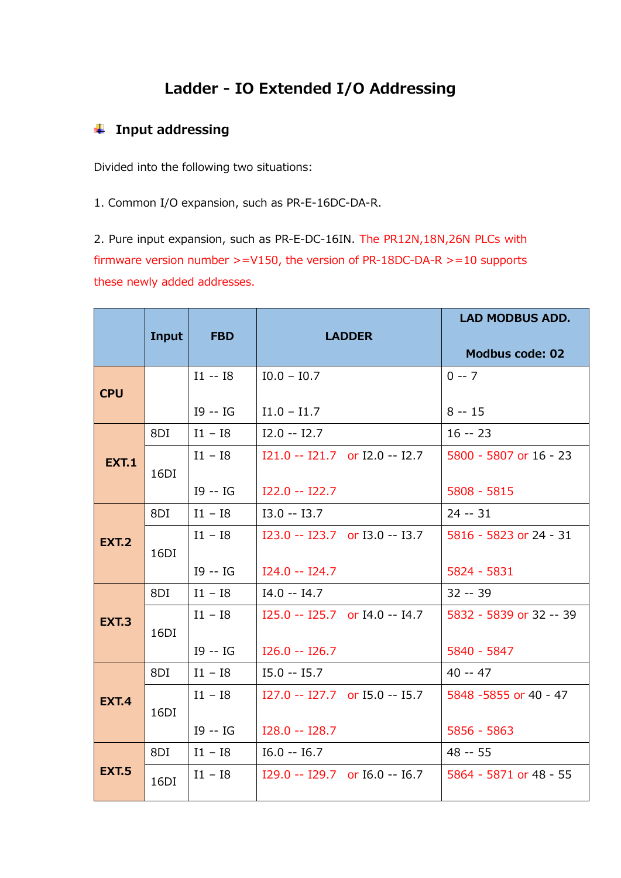## **Ladder - IO Extended I/O Addressing**

## **Input addressing**

Divided into the following two situations:

1. Common I/O expansion, such as PR-E-16DC-DA-R.

2. Pure input expansion, such as PR-E-DC-16IN. The PR12N,18N,26N PLCs with firmware version number  $>=V150$ , the version of PR-18DC-DA-R  $>=10$  supports these newly added addresses.

|              | Input | <b>FBD</b> | <b>LADDER</b>                    | <b>LAD MODBUS ADD.</b><br><b>Modbus code: 02</b> |
|--------------|-------|------------|----------------------------------|--------------------------------------------------|
| <b>CPU</b>   |       | $I1 - I8$  | $IO.0 - IO.7$                    | $0 - 7$                                          |
|              |       | $I9 - IG$  | $I1.0 - I1.7$                    | $8 - 15$                                         |
| <b>EXT.1</b> | 8DI   | $I1 - I8$  | $I2.0 - I2.7$                    | $16 - 23$                                        |
|              | 16DI  | $I1 - I8$  | $I21.0 - I21.7$ or $I2.0 - I2.7$ | 5800 - 5807 or 16 - 23                           |
|              |       | $I9 - IG$  | $I22.0 - I22.7$                  | 5808 - 5815                                      |
|              | 8DI   | $I1 - I8$  | $I3.0 - I3.7$                    | $24 - 31$                                        |
| <b>EXT.2</b> | 16DI  | $I1 - I8$  | I23.0 -- I23.7 or I3.0 -- I3.7   | 5816 - 5823 or 24 - 31                           |
|              |       | $I9 - IG$  | $I24.0 - I24.7$                  | 5824 - 5831                                      |
| <b>EXT.3</b> | 8DI   | $I1 - I8$  | $I4.0 - I4.7$                    | $32 - 39$                                        |
|              | 16DI  | $I1 - I8$  | I25.0 -- I25.7 or I4.0 -- I4.7   | 5832 - 5839 or 32 -- 39                          |
|              |       | $I9 - IG$  | $I26.0 - I26.7$                  | 5840 - 5847                                      |
| <b>EXT.4</b> | 8DI   | $I1 - I8$  | $I5.0 - I5.7$                    | $40 - 47$                                        |
|              | 16DI  | $I1 - I8$  | I27.0 -- I27.7 or I5.0 -- I5.7   | 5848 - 5855 or 40 - 47                           |
|              |       | $I9 - IG$  | $I28.0 - I28.7$                  | 5856 - 5863                                      |
|              | 8DI   | $I1 - I8$  | $I6.0 - I6.7$                    | $48 - 55$                                        |
| <b>EXT.5</b> | 16DI  | $I1 - I8$  | $I29.0 - I29.7$ or $I6.0 - I6.7$ | 5864 - 5871 or 48 - 55                           |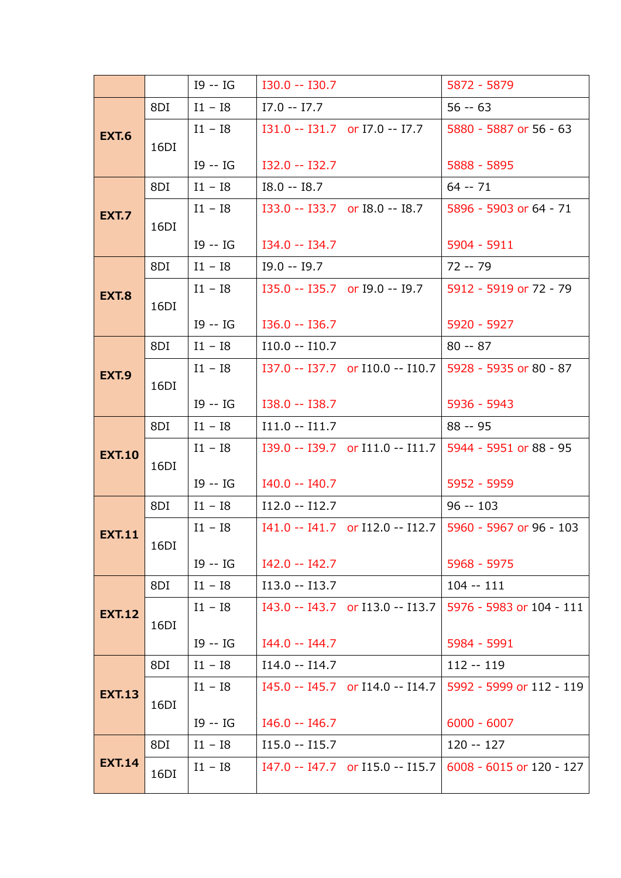|               |      | I9 -- IG  | $I30.0 - I30.7$ |                                  | 5872 - 5879                                                  |
|---------------|------|-----------|-----------------|----------------------------------|--------------------------------------------------------------|
|               | 8DI  | $I1 - I8$ | $I7.0 - I7.7$   |                                  | $56 - 63$                                                    |
| <b>EXT.6</b>  |      | $I1 - I8$ |                 | I31.0 -- I31.7 or I7.0 -- I7.7   | 5880 - 5887 or 56 - 63                                       |
|               | 16DI | $I9 - IG$ | $I32.0 - I32.7$ |                                  | 5888 - 5895                                                  |
| <b>EXT.7</b>  | 8DI  | $I1 - I8$ | $I8.0 - I8.7$   |                                  | $64 - 71$                                                    |
|               | 16DI | $I1 - I8$ |                 | $I33.0 - I33.7$ or $I8.0 - I8.7$ | 5896 - 5903 or 64 - 71                                       |
|               |      | $I9 - IG$ | I34.0 -- I34.7  |                                  | 5904 - 5911                                                  |
|               | 8DI  | $I1 - I8$ | $I9.0 - I9.7$   |                                  | $72 - 79$                                                    |
| <b>EXT.8</b>  |      | $I1 - I8$ |                 | I35.0 -- I35.7 or I9.0 -- I9.7   | 5912 - 5919 or 72 - 79                                       |
|               | 16DI | 19 -- IG  | $I36.0 - I36.7$ |                                  | 5920 - 5927                                                  |
|               | 8DI  | $I1 - I8$ | $I10.0 - I10.7$ |                                  | $80 - 87$                                                    |
| <b>EXT.9</b>  |      | $I1 - I8$ |                 | I37.0 -- I37.7 or I10.0 -- I10.7 | 5928 - 5935 or 80 - 87                                       |
|               | 16DI | $I9 - IG$ | $I38.0 - I38.7$ |                                  | 5936 - 5943                                                  |
|               | 8DI  | $I1 - I8$ | $I11.0 - I11.7$ |                                  | $88 - 95$                                                    |
| <b>EXT.10</b> | 16DI | $I1 - I8$ |                 | I39.0 -- I39.7 or I11.0 -- I11.7 | 5944 - 5951 or 88 - 95                                       |
|               |      | $I9 - IG$ | I40.0 -- I40.7  |                                  | 5952 - 5959                                                  |
|               | 8DI  | $I1 - I8$ | $I12.0 - I12.7$ |                                  | $96 - 103$                                                   |
| <b>EXT.11</b> |      | $I1 - I8$ |                 |                                  | $I41.0 - I41.7$ or $I12.0 - I12.7$   5960 - 5967 or 96 - 103 |
|               | 16DI | $I9 - IG$ | $I42.0 - I42.7$ |                                  | 5968 - 5975                                                  |
|               | 8DI  | $I1 - I8$ | $I13.0 - I13.7$ |                                  | $104 - 111$                                                  |
| <b>EXT.12</b> |      | $I1 - I8$ |                 | I43.0 -- I43.7 or I13.0 -- I13.7 | 5976 - 5983 or 104 - 111                                     |
|               | 16DI | $I9 - IG$ | I44.0 -- I44.7  |                                  | 5984 - 5991                                                  |
|               | 8DI  | $I1 - I8$ | $I14.0 - I14.7$ |                                  | $112 - 119$                                                  |
| <b>EXT.13</b> | 16DI | $I1 - I8$ |                 | I45.0 -- I45.7 or I14.0 -- I14.7 | 5992 - 5999 or 112 - 119                                     |
|               |      | $I9 - IG$ | $I46.0 - I46.7$ |                                  | $6000 - 6007$                                                |
|               | 8DI  | $I1 - I8$ | $I15.0 - I15.7$ |                                  | $120 - 127$                                                  |
| <b>EXT.14</b> | 16DI | $I1 - I8$ |                 | I47.0 -- I47.7 or I15.0 -- I15.7 | 6008 - 6015 or 120 - 127                                     |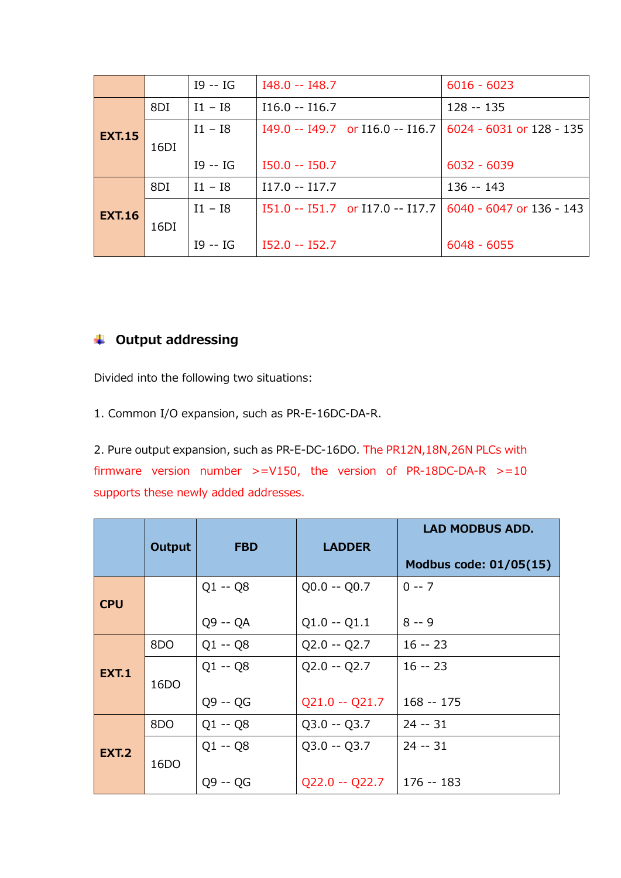|               |      | 19 -- IG  | $I48.0 - I48.7$                                               | $6016 - 6023$ |
|---------------|------|-----------|---------------------------------------------------------------|---------------|
| <b>EXT.15</b> | 8DI  | $11 - 18$ | $I16.0 - I16.7$                                               | $128 - 135$   |
|               |      | $I1 - I8$ | $149.0 - 149.7$ or $116.0 - 116.7$   6024 - 6031 or 128 - 135 |               |
|               | 16DI |           |                                                               |               |
|               |      | 19 -- IG  | $I50.0 - I50.7$                                               | $6032 - 6039$ |
| <b>EXT.16</b> | 8DI  | $11 - 18$ | $I17.0 - I17.7$                                               | 136 -- 143    |
|               |      | $I1 - I8$ | $I51.0 - I51.7$ or $I17.0 - I17.7$   6040 - 6047 or 136 - 143 |               |
|               | 16DI |           |                                                               |               |
|               |      | $I9 - IG$ | $I52.0 - I52.7$                                               | $6048 - 6055$ |

## **Output addressing**

Divided into the following two situations:

1. Common I/O expansion, such as PR-E-16DC-DA-R.

2. Pure output expansion, such as PR-E-DC-16DO. The PR12N,18N,26N PLCs with firmware version number  $>=V150$ , the version of PR-18DC-DA-R  $>=10$ supports these newly added addresses.

|              | Output | <b>FBD</b> | <b>LADDER</b>   | <b>LAD MODBUS ADD.</b> |
|--------------|--------|------------|-----------------|------------------------|
|              |        |            |                 | Modbus code: 01/05(15) |
| <b>CPU</b>   |        | $Q1 - Q8$  | $Q0.0 - Q0.7$   | $0 - 7$                |
|              |        | $Q9 - QA$  | $Q1.0 - Q1.1$   | $8 - 9$                |
| <b>EXT.1</b> | 8DO    | $Q1 - Q8$  | $Q2.0 - Q2.7$   | $16 - 23$              |
|              | 16DO   | $Q1 - Q8$  | $Q2.0 - Q2.7$   | $16 - 23$              |
|              |        | Q9 -- QG   | $Q21.0 - Q21.7$ | $168 - 175$            |
| <b>EXT.2</b> | 8DO    | $Q1 - Q8$  | $Q3.0 - Q3.7$   | $24 - 31$              |
|              |        | $Q1 - Q8$  | $Q3.0 - Q3.7$   | $24 - 31$              |
|              | 16DO   |            |                 |                        |
|              |        | Q9 -- QG   | $Q22.0 - Q22.7$ | 176 -- 183             |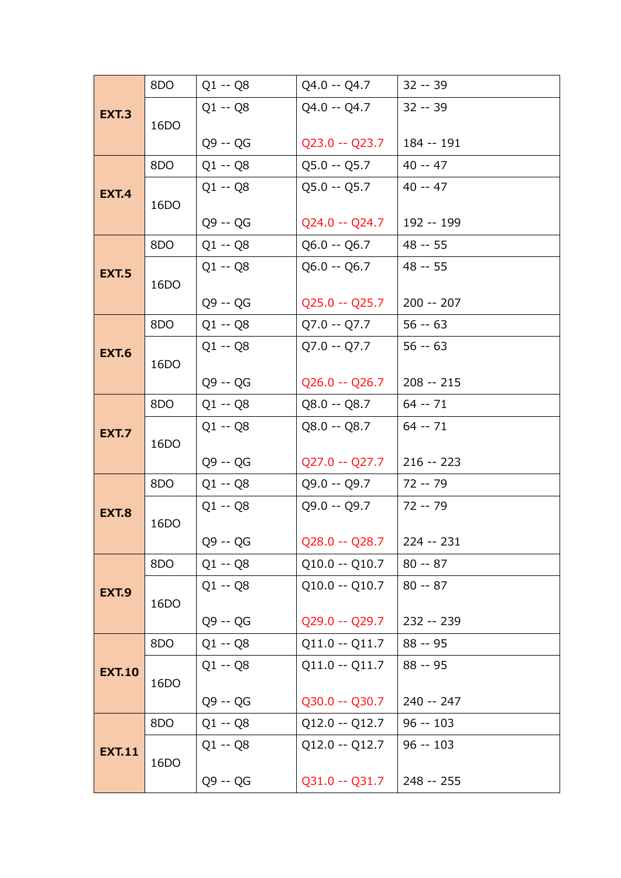| <b>EXT.3</b>  | 8DO  | $Q1 - Q8$ | $Q4.0 - Q4.7$             | $32 - 39$   |
|---------------|------|-----------|---------------------------|-------------|
|               | 16DO | $Q1 - Q8$ | $Q4.0 - Q4.7$             | $32 - 39$   |
|               |      | Q9 -- QG  | $Q23.0 - Q23.7$           | 184 -- 191  |
| <b>EXT.4</b>  | 8DO  | $Q1 - Q8$ | $Q5.0 - Q5.7$             | $40 - 47$   |
|               |      | $Q1 - Q8$ | $Q5.0 - Q5.7$             | $40 - 47$   |
|               | 16DO |           |                           |             |
|               |      | Q9 -- QG  | $Q24.0 - Q24.7$           | 192 -- 199  |
|               | 8DO  | $Q1 - Q8$ | $Q6.0 - Q6.7$             | $48 - 55$   |
| <b>EXT.5</b>  |      | $Q1 - Q8$ | $Q6.0 - Q6.7$             | $48 - 55$   |
|               | 16DO | Q9 -- QG  | $Q25.0 - Q25.7$           | $200 - 207$ |
|               | 8DO  | $Q1 - Q8$ | $Q7.0 - Q7.7$             | $56 - 63$   |
|               |      | $Q1 - Q8$ | $Q7.0 - Q7.7$             | $56 - 63$   |
| <b>EXT.6</b>  | 16DO |           |                           |             |
|               |      | Q9 -- QG  | $Q26.0 - Q26.7$           | $208 - 215$ |
|               | 8DO  | $Q1 - Q8$ | $Q8.0 - Q8.7$             | $64 - 71$   |
| <b>EXT.7</b>  | 16DO | $Q1 - Q8$ | $Q8.0 - Q8.7$             | $64 - 71$   |
|               |      | Q9 -- QG  | $Q27.0 - Q27.7$           | $216 - 223$ |
|               | 8DO  | $Q1 - Q8$ | $Q9.0 - Q9.7$             | 72 -- 79    |
| <b>EXT.8</b>  | 16DO | $Q1 - Q8$ | $Q9.0 - Q9.7$             | $72 - 79$   |
|               |      |           |                           |             |
|               |      | Q9 -- QG  | Q28.0 -- Q28.7 224 -- 231 |             |
|               | 8DO  | $Q1 - Q8$ | $Q10.0 - Q10.7$           | $80 - 87$   |
| <b>EXT.9</b>  | 16DO | $Q1 - Q8$ | $Q10.0 - Q10.7$           | $80 - 87$   |
|               |      | Q9 -- QG  | $Q29.0 - Q29.7$           | 232 -- 239  |
|               | 8DO  | $Q1 - Q8$ | $Q11.0 - Q11.7$           | 88 -- 95    |
|               | 16DO | $Q1 - Q8$ | $Q11.0 - Q11.7$           | $88 - 95$   |
| <b>EXT.10</b> |      |           |                           |             |
|               |      | Q9 -- QG  | $Q30.0 - Q30.7$           | 240 -- 247  |
|               | 8DO  | $Q1 - Q8$ | $Q12.0 - Q12.7$           | $96 - 103$  |
| <b>EXT.11</b> | 16DO | $Q1 - Q8$ | $Q12.0 - Q12.7$           | $96 - 103$  |
|               |      | Q9 -- QG  | $Q31.0 - Q31.7$           | 248 -- 255  |